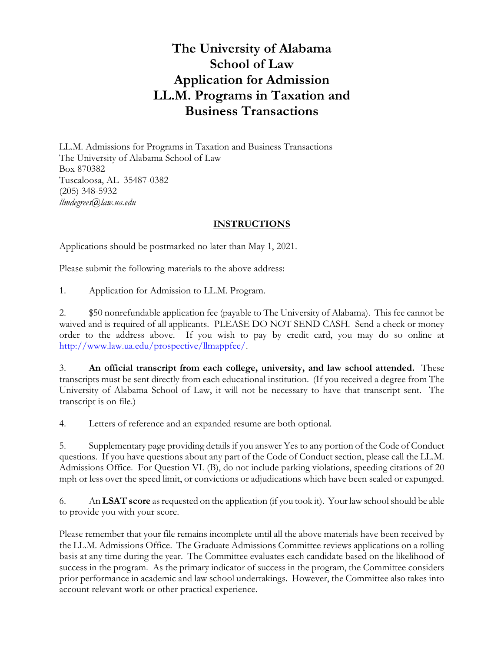# **The University of Alabama School of Law Application for Admission LL.M. Programs in Taxation and Business Transactions**

LL.M. Admissions for Programs in Taxation and Business Transactions The University of Alabama School of Law Box 870382 Tuscaloosa, AL 35487-0382 (205) 348-5932 *llmdegrees@law.ua.edu*

## **INSTRUCTIONS**

Applications should be postmarked no later than May 1, 2021.

Please submit the following materials to the above address:

1. Application for Admission to LL.M. Program.

2. \$50 nonrefundable application fee (payable to The University of Alabama). This fee cannot be waived and is required of all applicants. PLEASE DO NOT SEND CASH. Send a check or money order to the address above. If you wish to pay by credit card, you may do so online at http://www.law.ua.edu/prospective/llmappfee/.

3. **An official transcript from each college, university, and law school attended.** These transcripts must be sent directly from each educational institution. (If you received a degree from The University of Alabama School of Law, it will not be necessary to have that transcript sent. The transcript is on file.)

4. Letters of reference and an expanded resume are both optional.

5. Supplementary page providing details if you answer Yes to any portion of the Code of Conduct questions. If you have questions about any part of the Code of Conduct section, please call the LL.M. Admissions Office. For Question VI. (B), do not include parking violations, speeding citations of 20 mph or less over the speed limit, or convictions or adjudications which have been sealed or expunged.

6. An **LSAT score** asrequested on the application (if you took it). Your law school should be able to provide you with your score.

Please remember that your file remains incomplete until all the above materials have been received by the LL.M. Admissions Office. The Graduate Admissions Committee reviews applications on a rolling basis at any time during the year. The Committee evaluates each candidate based on the likelihood of success in the program. As the primary indicator of success in the program, the Committee considers prior performance in academic and law school undertakings. However, the Committee also takes into account relevant work or other practical experience.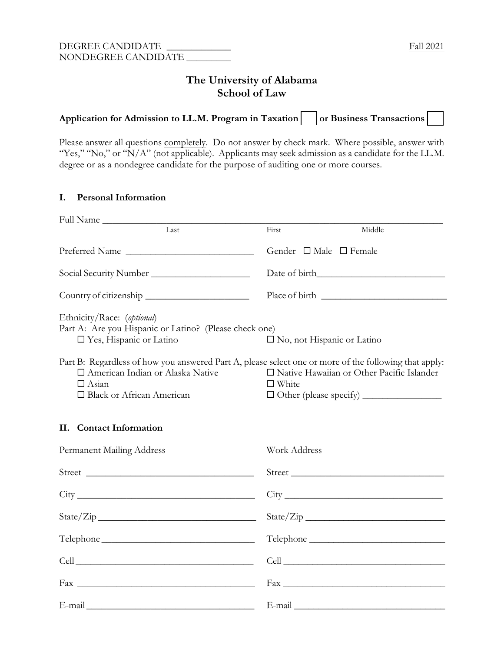# **The University of Alabama School of Law**

| Application for Admission to LL.M. Program in Taxation     or Business Transactions |  |  |  |
|-------------------------------------------------------------------------------------|--|--|--|
|-------------------------------------------------------------------------------------|--|--|--|

Please answer all questions completely. Do not answer by check mark. Where possible, answer with "Yes," "No," or "N/A" (not applicable). Applicants may seek admission as a candidate for the LL.M. degree or as a nondegree candidate for the purpose of auditing one or more courses.

## **I. Personal Information**

| Full Name                                                                                                                                                                                  |                                                             |
|--------------------------------------------------------------------------------------------------------------------------------------------------------------------------------------------|-------------------------------------------------------------|
| Last                                                                                                                                                                                       | Middle<br>First                                             |
| Preferred Name                                                                                                                                                                             | Gender $\Box$ Male $\Box$ Female                            |
|                                                                                                                                                                                            |                                                             |
| Country of citizenship                                                                                                                                                                     |                                                             |
| Ethnicity/Race: (optional)<br>Part A: Are you Hispanic or Latino? (Please check one)<br>$\square$ Yes, Hispanic or Latino                                                                  | $\square$ No, not Hispanic or Latino                        |
| Part B: Regardless of how you answered Part A, please select one or more of the following that apply:<br>□ American Indian or Alaska Native<br>$\Box$ Asian<br>□ Black or African American | □ Native Hawaiian or Other Pacific Islander<br>$\Box$ White |
| II. Contact Information                                                                                                                                                                    |                                                             |
| Permanent Mailing Address                                                                                                                                                                  | Work Address                                                |
| Street                                                                                                                                                                                     |                                                             |
|                                                                                                                                                                                            | City                                                        |
|                                                                                                                                                                                            |                                                             |
|                                                                                                                                                                                            |                                                             |
|                                                                                                                                                                                            |                                                             |
|                                                                                                                                                                                            |                                                             |
|                                                                                                                                                                                            |                                                             |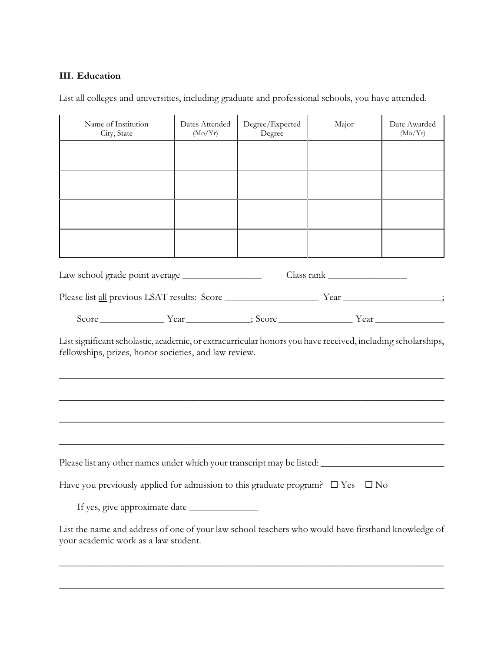# **III. Education**

List all colleges and universities, including graduate and professional schools, you have attended.

| Name of Institution<br>City, State                                                                                                                                                                                           | Dates Attended<br>(Mo/Yr) | Degree/Expected<br>Degree | Major | Date Awarded<br>(Mo/Yr) |
|------------------------------------------------------------------------------------------------------------------------------------------------------------------------------------------------------------------------------|---------------------------|---------------------------|-------|-------------------------|
|                                                                                                                                                                                                                              |                           |                           |       |                         |
|                                                                                                                                                                                                                              |                           |                           |       |                         |
|                                                                                                                                                                                                                              |                           |                           |       |                         |
|                                                                                                                                                                                                                              |                           |                           |       |                         |
|                                                                                                                                                                                                                              |                           |                           |       |                         |
|                                                                                                                                                                                                                              |                           |                           |       |                         |
|                                                                                                                                                                                                                              |                           |                           |       |                         |
| List significant scholastic, academic, or extracurricular honors you have received, including scholarships,<br>fellowships, prizes, honor societies, and law review.                                                         |                           |                           |       |                         |
| <u> 1989 - Johann Harry Harry Harry Harry Harry Harry Harry Harry Harry Harry Harry Harry Harry Harry Harry Harry</u><br>Please list any other names under which your transcript may be listed: ____________________________ |                           |                           |       |                         |
| Have you previously applied for admission to this graduate program? $\Box$ Yes $\Box$ No                                                                                                                                     |                           |                           |       |                         |
|                                                                                                                                                                                                                              |                           |                           |       |                         |
| List the name and address of one of your law school teachers who would have firsthand knowledge of<br>your academic work as a law student.                                                                                   |                           |                           |       |                         |
|                                                                                                                                                                                                                              |                           |                           |       |                         |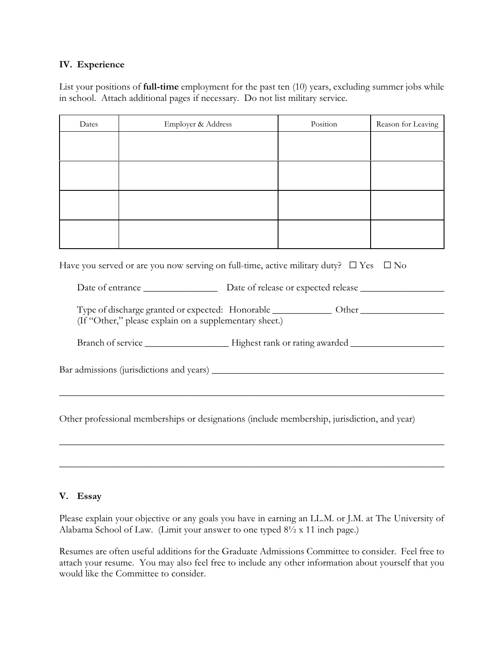#### **IV. Experience**

List your positions of **full-time** employment for the past ten (10) years, excluding summer jobs while in school. Attach additional pages if necessary. Do not list military service.

| Dates | Employer & Address | Position | Reason for Leaving |
|-------|--------------------|----------|--------------------|
|       |                    |          |                    |
|       |                    |          |                    |
|       |                    |          |                    |
|       |                    |          |                    |
|       |                    |          |                    |
|       |                    |          |                    |
|       |                    |          |                    |
|       |                    |          |                    |

Have you served or are you now serving on full-time, active military duty?  $\square$  Yes  $\square$  No

Date of entrance \_\_\_\_\_\_\_\_\_\_\_\_\_\_\_ Date of release or expected release \_\_\_\_\_\_\_\_\_\_\_\_\_\_\_\_\_

Type of discharge granted or expected: Honorable \_\_\_\_\_\_\_\_\_\_\_\_ Other \_\_\_\_\_\_\_\_\_\_\_\_\_\_\_\_\_ (If "Other," please explain on a supplementary sheet.)

Branch of service \_\_\_\_\_\_\_\_\_\_\_\_\_\_\_\_\_ Highest rank or rating awarded \_\_\_\_\_\_\_\_\_\_\_\_\_\_\_\_\_\_\_

Bar admissions (jurisdictions and years) \_\_\_\_\_\_\_\_\_\_\_\_\_\_\_\_\_\_\_\_\_\_\_\_\_\_\_\_\_\_\_\_\_\_\_\_\_\_\_\_\_\_\_\_\_\_\_

Other professional memberships or designations (include membership, jurisdiction, and year)

\_\_\_\_\_\_\_\_\_\_\_\_\_\_\_\_\_\_\_\_\_\_\_\_\_\_\_\_\_\_\_\_\_\_\_\_\_\_\_\_\_\_\_\_\_\_\_\_\_\_\_\_\_\_\_\_\_\_\_\_\_\_\_\_\_\_\_\_\_\_\_\_\_\_\_\_\_\_

\_\_\_\_\_\_\_\_\_\_\_\_\_\_\_\_\_\_\_\_\_\_\_\_\_\_\_\_\_\_\_\_\_\_\_\_\_\_\_\_\_\_\_\_\_\_\_\_\_\_\_\_\_\_\_\_\_\_\_\_\_\_\_\_\_\_\_\_\_\_\_\_\_\_\_\_\_\_

\_\_\_\_\_\_\_\_\_\_\_\_\_\_\_\_\_\_\_\_\_\_\_\_\_\_\_\_\_\_\_\_\_\_\_\_\_\_\_\_\_\_\_\_\_\_\_\_\_\_\_\_\_\_\_\_\_\_\_\_\_\_\_\_\_\_\_\_\_\_\_\_\_\_\_\_\_\_

#### **V. Essay**

Please explain your objective or any goals you have in earning an LL.M. or J.M. at The University of Alabama School of Law. (Limit your answer to one typed 8½ x 11 inch page.)

Resumes are often useful additions for the Graduate Admissions Committee to consider. Feel free to attach your resume. You may also feel free to include any other information about yourself that you would like the Committee to consider.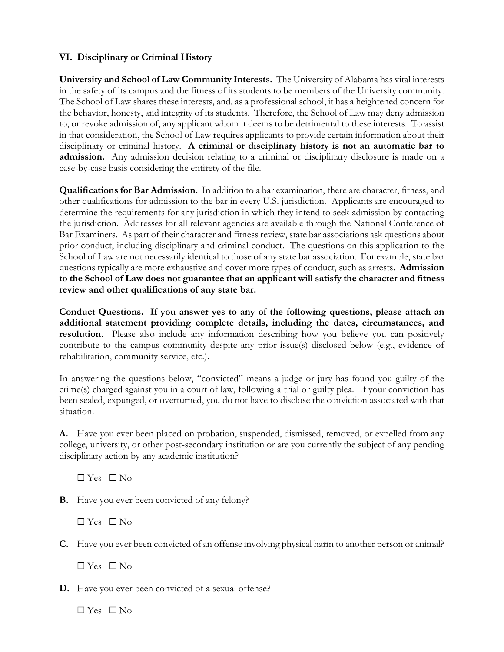# **VI. Disciplinary or Criminal History**

**University and School of Law Community Interests.** The University of Alabama has vital interests in the safety of its campus and the fitness of its students to be members of the University community. The School of Law shares these interests, and, as a professional school, it has a heightened concern for the behavior, honesty, and integrity of its students. Therefore, the School of Law may deny admission to, or revoke admission of, any applicant whom it deems to be detrimental to these interests. To assist in that consideration, the School of Law requires applicants to provide certain information about their disciplinary or criminal history. **A criminal or disciplinary history is not an automatic bar to admission.** Any admission decision relating to a criminal or disciplinary disclosure is made on a case-by-case basis considering the entirety of the file.

**Qualifications for Bar Admission.** In addition to a bar examination, there are character, fitness, and other qualifications for admission to the bar in every U.S. jurisdiction. Applicants are encouraged to determine the requirements for any jurisdiction in which they intend to seek admission by contacting the jurisdiction. Addresses for all relevant agencies are available through the National Conference of Bar Examiners. As part of their character and fitness review, state bar associations ask questions about prior conduct, including disciplinary and criminal conduct. The questions on this application to the School of Law are not necessarily identical to those of any state bar association. For example, state bar questions typically are more exhaustive and cover more types of conduct, such as arrests. **Admission to the School of Law does not guarantee that an applicant will satisfy the character and fitness review and other qualifications of any state bar.** 

**Conduct Questions. If you answer yes to any of the following questions, please attach an additional statement providing complete details, including the dates, circumstances, and resolution.** Please also include any information describing how you believe you can positively contribute to the campus community despite any prior issue(s) disclosed below (e.g., evidence of rehabilitation, community service, etc.).

In answering the questions below, "convicted" means a judge or jury has found you guilty of the crime(s) charged against you in a court of law, following a trial or guilty plea. If your conviction has been sealed, expunged, or overturned, you do not have to disclose the conviction associated with that situation.

**A.** Have you ever been placed on probation, suspended, dismissed, removed, or expelled from any college, university, or other post-secondary institution or are you currently the subject of any pending disciplinary action by any academic institution?

 $\Box$  Yes  $\Box$  No

**B.** Have you ever been convicted of any felony?

 $\Box$  Yes  $\Box$  No

**C.** Have you ever been convicted of an offense involving physical harm to another person or animal?

 $\Box$  Yes  $\Box$  No

**D.** Have you ever been convicted of a sexual offense?

 $\Box$  Yes  $\Box$  No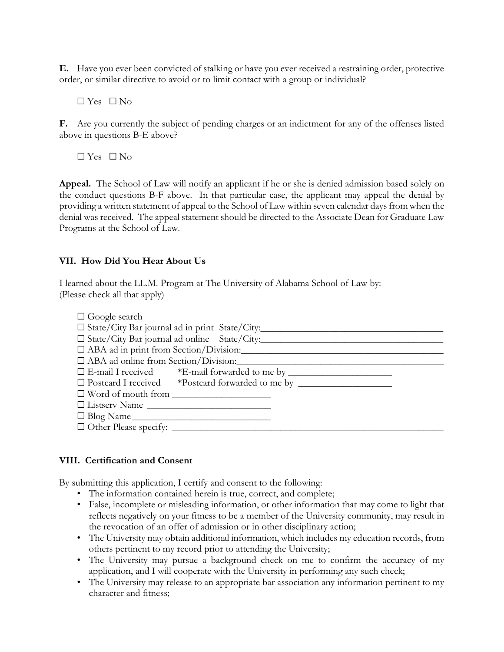**E.** Have you ever been convicted of stalking or have you ever received a restraining order, protective order, or similar directive to avoid or to limit contact with a group or individual?

 $\Box$  Yes  $\Box$  No

**F.** Are you currently the subject of pending charges or an indictment for any of the offenses listed above in questions B-E above?

 $\Box$  Yes  $\Box$  No

**Appeal.** The School of Law will notify an applicant if he or she is denied admission based solely on the conduct questions B-F above. In that particular case, the applicant may appeal the denial by providing a written statement of appeal to the School of Law within seven calendar daysfrom when the denial was received. The appeal statement should be directed to the Associate Dean for Graduate Law Programs at the School of Law.

## **VII. How Did You Hear About Us**

I learned about the LL.M. Program at The University of Alabama School of Law by: (Please check all that apply)

| $\Box$ Google search                                |                                                          |
|-----------------------------------------------------|----------------------------------------------------------|
|                                                     | $\square$ State/City Bar journal ad in print State/City: |
|                                                     | $\Box$ State/City Bar journal ad online State/City:      |
|                                                     | □ ABA ad in print from Section/Division:                 |
| $\Box$ ABA ad online from Section/Division:         |                                                          |
|                                                     |                                                          |
|                                                     |                                                          |
| □ Word of mouth from <u>_______________________</u> |                                                          |
| $\Box$ Listserv Name $\Box$                         |                                                          |
| $\Box$ Blog Name                                    |                                                          |
|                                                     |                                                          |

#### **VIII. Certification and Consent**

By submitting this application, I certify and consent to the following:

- The information contained herein is true, correct, and complete;
- False, incomplete or misleading information, or other information that may come to light that reflects negatively on your fitness to be a member of the University community, may result in the revocation of an offer of admission or in other disciplinary action;
- The University may obtain additional information, which includes my education records, from others pertinent to my record prior to attending the University;
- The University may pursue a background check on me to confirm the accuracy of my application, and I will cooperate with the University in performing any such check;
- The University may release to an appropriate bar association any information pertinent to my character and fitness;